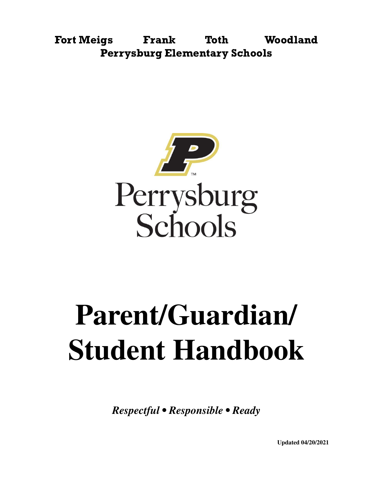Fort Meigs Frank Toth Woodland Perrysburg Elementary Schools



# **Parent/Guardian/ Student Handbook**

*Respectful • Responsible • Ready*

**Updated 04/20/2021**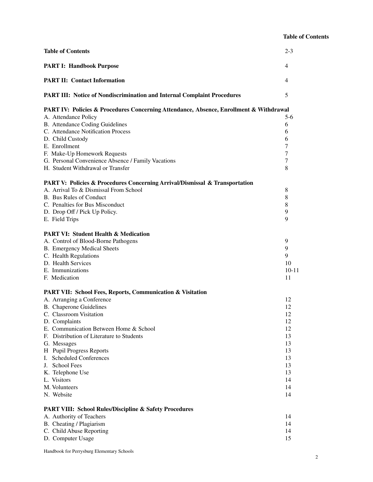#### **Table of Contents**

| <b>Table of Contents</b>                                                                                             | $2 - 3$   |
|----------------------------------------------------------------------------------------------------------------------|-----------|
| <b>PART I: Handbook Purpose</b>                                                                                      | 4         |
| <b>PART II: Contact Information</b>                                                                                  | 4         |
| PART III: Notice of Nondiscrimination and Internal Complaint Procedures                                              | 5         |
| PART IV: Policies & Procedures Concerning Attendance, Absence, Enrollment & Withdrawal<br>A. Attendance Policy       | 5-6       |
| B. Attendance Coding Guidelines                                                                                      | 6         |
| C. Attendance Notification Process                                                                                   | 6         |
| D. Child Custody                                                                                                     | 6         |
| E. Enrollment                                                                                                        | 7         |
| F. Make-Up Homework Requests                                                                                         | 7         |
| G. Personal Convenience Absence / Family Vacations                                                                   | 7         |
| H. Student Withdrawal or Transfer                                                                                    | 8         |
|                                                                                                                      |           |
| PART V: Policies & Procedures Concerning Arrival/Dismissal & Transportation<br>A. Arrival To & Dismissal From School | 8         |
| B. Bus Rules of Conduct                                                                                              | 8         |
| C. Penalties for Bus Misconduct                                                                                      | 8         |
|                                                                                                                      | 9         |
| D. Drop Off / Pick Up Policy.<br>E. Field Trips                                                                      | 9         |
|                                                                                                                      |           |
| <b>PART VI: Student Health &amp; Medication</b>                                                                      |           |
| A. Control of Blood-Borne Pathogens                                                                                  | 9         |
| <b>B.</b> Emergency Medical Sheets                                                                                   | 9         |
| C. Health Regulations                                                                                                | 9         |
| D. Health Services                                                                                                   | 10        |
| E. Immunizations                                                                                                     | $10 - 11$ |
| F. Medication                                                                                                        | 11        |
| <b>PART VII: School Fees, Reports, Communication &amp; Visitation</b>                                                |           |
| A. Arranging a Conference                                                                                            | 12        |
| <b>B.</b> Chaperone Guidelines                                                                                       | 12        |
| C. Classroom Visitation                                                                                              | 12        |
| D. Complaints                                                                                                        | 12        |
| E. Communication Between Home & School                                                                               | 12        |
| F. Distribution of Literature to Students                                                                            | 13        |
| G. Messages                                                                                                          | 13        |
| H Pupil Progress Reports                                                                                             | 13        |
| I. Scheduled Conferences                                                                                             | 13        |
| J. School Fees                                                                                                       | 13        |
| K. Telephone Use                                                                                                     | 13        |
| L. Visitors                                                                                                          | 14        |
| M. Volunteers                                                                                                        | 14        |
| N. Website                                                                                                           | 14        |
| <b>PART VIII: School Rules/Discipline &amp; Safety Procedures</b>                                                    |           |
| A. Authority of Teachers                                                                                             | 14        |
| B. Cheating / Plagiarism                                                                                             | 14        |
| C. Child Abuse Reporting                                                                                             | 14        |
| D. Computer Usage                                                                                                    | 15        |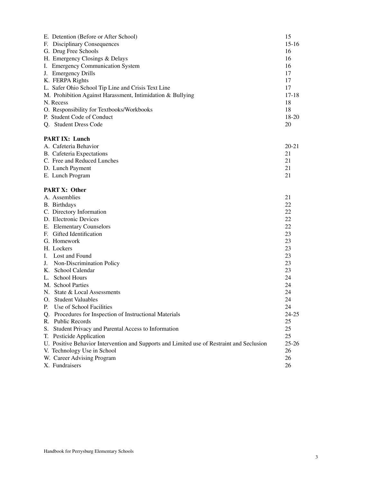| K. FERPA Rights<br>17<br>L. Safer Ohio School Tip Line and Crisis Text Line<br>17<br>M. Prohibition Against Harassment, Intimidation & Bullying<br>$17 - 18$<br>18<br>N. Recess<br>18<br>O. Responsibility for Textbooks/Workbooks<br>P. Student Code of Conduct<br>$18 - 20$<br>20<br>Q. Student Dress Code<br><b>PART IX: Lunch</b><br>A. Cafeteria Behavior<br>$20 - 21$<br>B. Cafeteria Expectations<br>21<br>C. Free and Reduced Lunches<br>21<br>D. Lunch Payment<br>21<br>21<br>E. Lunch Program<br><b>PART X: Other</b><br>A. Assemblies<br>21<br>22<br>B. Birthdays<br>C. Directory Information<br>22<br>D. Electronic Devices<br>22<br>22<br>E. Elementary Counselors<br>F. Gifted Identification<br>23<br>G. Homework<br>23<br>23<br>H. Lockers<br>I. Lost and Found<br>23<br>J. Non-Discrimination Policy<br>23<br>K. School Calendar<br>23<br>L. School Hours<br>24<br>M. School Parties<br>24<br>N. State & Local Assessments<br>24<br>O. Student Valuables<br>24<br>Use of School Facilities<br>P.<br>24<br>Q. Procedures for Inspection of Instructional Materials<br>$24 - 25$<br>R. Public Records<br>25<br>S. Student Privacy and Parental Access to Information<br>25<br>T. Pesticide Application<br>25<br>U. Positive Behavior Intervention and Supports and Limited use of Restraint and Seclusion<br>$25 - 26$<br>V. Technology Use in School<br>26<br>W. Career Advising Program<br>26<br>X. Fundraisers<br>26 | E. Detention (Before or After School)<br>F. Disciplinary Consequences<br>G. Drug Free Schools<br>H. Emergency Closings & Delays<br>I. Emergency Communication System<br>J. Emergency Drills | 15<br>$15 - 16$<br>16<br>16<br>16<br>17 |
|----------------------------------------------------------------------------------------------------------------------------------------------------------------------------------------------------------------------------------------------------------------------------------------------------------------------------------------------------------------------------------------------------------------------------------------------------------------------------------------------------------------------------------------------------------------------------------------------------------------------------------------------------------------------------------------------------------------------------------------------------------------------------------------------------------------------------------------------------------------------------------------------------------------------------------------------------------------------------------------------------------------------------------------------------------------------------------------------------------------------------------------------------------------------------------------------------------------------------------------------------------------------------------------------------------------------------------------------------------------------------------------------------------------------------------------|---------------------------------------------------------------------------------------------------------------------------------------------------------------------------------------------|-----------------------------------------|
|                                                                                                                                                                                                                                                                                                                                                                                                                                                                                                                                                                                                                                                                                                                                                                                                                                                                                                                                                                                                                                                                                                                                                                                                                                                                                                                                                                                                                                        |                                                                                                                                                                                             |                                         |
|                                                                                                                                                                                                                                                                                                                                                                                                                                                                                                                                                                                                                                                                                                                                                                                                                                                                                                                                                                                                                                                                                                                                                                                                                                                                                                                                                                                                                                        |                                                                                                                                                                                             |                                         |
|                                                                                                                                                                                                                                                                                                                                                                                                                                                                                                                                                                                                                                                                                                                                                                                                                                                                                                                                                                                                                                                                                                                                                                                                                                                                                                                                                                                                                                        |                                                                                                                                                                                             |                                         |
|                                                                                                                                                                                                                                                                                                                                                                                                                                                                                                                                                                                                                                                                                                                                                                                                                                                                                                                                                                                                                                                                                                                                                                                                                                                                                                                                                                                                                                        |                                                                                                                                                                                             |                                         |
|                                                                                                                                                                                                                                                                                                                                                                                                                                                                                                                                                                                                                                                                                                                                                                                                                                                                                                                                                                                                                                                                                                                                                                                                                                                                                                                                                                                                                                        |                                                                                                                                                                                             |                                         |
|                                                                                                                                                                                                                                                                                                                                                                                                                                                                                                                                                                                                                                                                                                                                                                                                                                                                                                                                                                                                                                                                                                                                                                                                                                                                                                                                                                                                                                        |                                                                                                                                                                                             |                                         |
|                                                                                                                                                                                                                                                                                                                                                                                                                                                                                                                                                                                                                                                                                                                                                                                                                                                                                                                                                                                                                                                                                                                                                                                                                                                                                                                                                                                                                                        |                                                                                                                                                                                             |                                         |
|                                                                                                                                                                                                                                                                                                                                                                                                                                                                                                                                                                                                                                                                                                                                                                                                                                                                                                                                                                                                                                                                                                                                                                                                                                                                                                                                                                                                                                        |                                                                                                                                                                                             |                                         |
|                                                                                                                                                                                                                                                                                                                                                                                                                                                                                                                                                                                                                                                                                                                                                                                                                                                                                                                                                                                                                                                                                                                                                                                                                                                                                                                                                                                                                                        |                                                                                                                                                                                             |                                         |
|                                                                                                                                                                                                                                                                                                                                                                                                                                                                                                                                                                                                                                                                                                                                                                                                                                                                                                                                                                                                                                                                                                                                                                                                                                                                                                                                                                                                                                        |                                                                                                                                                                                             |                                         |
|                                                                                                                                                                                                                                                                                                                                                                                                                                                                                                                                                                                                                                                                                                                                                                                                                                                                                                                                                                                                                                                                                                                                                                                                                                                                                                                                                                                                                                        |                                                                                                                                                                                             |                                         |
|                                                                                                                                                                                                                                                                                                                                                                                                                                                                                                                                                                                                                                                                                                                                                                                                                                                                                                                                                                                                                                                                                                                                                                                                                                                                                                                                                                                                                                        |                                                                                                                                                                                             |                                         |
|                                                                                                                                                                                                                                                                                                                                                                                                                                                                                                                                                                                                                                                                                                                                                                                                                                                                                                                                                                                                                                                                                                                                                                                                                                                                                                                                                                                                                                        |                                                                                                                                                                                             |                                         |
|                                                                                                                                                                                                                                                                                                                                                                                                                                                                                                                                                                                                                                                                                                                                                                                                                                                                                                                                                                                                                                                                                                                                                                                                                                                                                                                                                                                                                                        |                                                                                                                                                                                             |                                         |
|                                                                                                                                                                                                                                                                                                                                                                                                                                                                                                                                                                                                                                                                                                                                                                                                                                                                                                                                                                                                                                                                                                                                                                                                                                                                                                                                                                                                                                        |                                                                                                                                                                                             |                                         |
|                                                                                                                                                                                                                                                                                                                                                                                                                                                                                                                                                                                                                                                                                                                                                                                                                                                                                                                                                                                                                                                                                                                                                                                                                                                                                                                                                                                                                                        |                                                                                                                                                                                             |                                         |
|                                                                                                                                                                                                                                                                                                                                                                                                                                                                                                                                                                                                                                                                                                                                                                                                                                                                                                                                                                                                                                                                                                                                                                                                                                                                                                                                                                                                                                        |                                                                                                                                                                                             |                                         |
|                                                                                                                                                                                                                                                                                                                                                                                                                                                                                                                                                                                                                                                                                                                                                                                                                                                                                                                                                                                                                                                                                                                                                                                                                                                                                                                                                                                                                                        |                                                                                                                                                                                             |                                         |
|                                                                                                                                                                                                                                                                                                                                                                                                                                                                                                                                                                                                                                                                                                                                                                                                                                                                                                                                                                                                                                                                                                                                                                                                                                                                                                                                                                                                                                        |                                                                                                                                                                                             |                                         |
|                                                                                                                                                                                                                                                                                                                                                                                                                                                                                                                                                                                                                                                                                                                                                                                                                                                                                                                                                                                                                                                                                                                                                                                                                                                                                                                                                                                                                                        |                                                                                                                                                                                             |                                         |
|                                                                                                                                                                                                                                                                                                                                                                                                                                                                                                                                                                                                                                                                                                                                                                                                                                                                                                                                                                                                                                                                                                                                                                                                                                                                                                                                                                                                                                        |                                                                                                                                                                                             |                                         |
|                                                                                                                                                                                                                                                                                                                                                                                                                                                                                                                                                                                                                                                                                                                                                                                                                                                                                                                                                                                                                                                                                                                                                                                                                                                                                                                                                                                                                                        |                                                                                                                                                                                             |                                         |
|                                                                                                                                                                                                                                                                                                                                                                                                                                                                                                                                                                                                                                                                                                                                                                                                                                                                                                                                                                                                                                                                                                                                                                                                                                                                                                                                                                                                                                        |                                                                                                                                                                                             |                                         |
|                                                                                                                                                                                                                                                                                                                                                                                                                                                                                                                                                                                                                                                                                                                                                                                                                                                                                                                                                                                                                                                                                                                                                                                                                                                                                                                                                                                                                                        |                                                                                                                                                                                             |                                         |
|                                                                                                                                                                                                                                                                                                                                                                                                                                                                                                                                                                                                                                                                                                                                                                                                                                                                                                                                                                                                                                                                                                                                                                                                                                                                                                                                                                                                                                        |                                                                                                                                                                                             |                                         |
|                                                                                                                                                                                                                                                                                                                                                                                                                                                                                                                                                                                                                                                                                                                                                                                                                                                                                                                                                                                                                                                                                                                                                                                                                                                                                                                                                                                                                                        |                                                                                                                                                                                             |                                         |
|                                                                                                                                                                                                                                                                                                                                                                                                                                                                                                                                                                                                                                                                                                                                                                                                                                                                                                                                                                                                                                                                                                                                                                                                                                                                                                                                                                                                                                        |                                                                                                                                                                                             |                                         |
|                                                                                                                                                                                                                                                                                                                                                                                                                                                                                                                                                                                                                                                                                                                                                                                                                                                                                                                                                                                                                                                                                                                                                                                                                                                                                                                                                                                                                                        |                                                                                                                                                                                             |                                         |
|                                                                                                                                                                                                                                                                                                                                                                                                                                                                                                                                                                                                                                                                                                                                                                                                                                                                                                                                                                                                                                                                                                                                                                                                                                                                                                                                                                                                                                        |                                                                                                                                                                                             |                                         |
|                                                                                                                                                                                                                                                                                                                                                                                                                                                                                                                                                                                                                                                                                                                                                                                                                                                                                                                                                                                                                                                                                                                                                                                                                                                                                                                                                                                                                                        |                                                                                                                                                                                             |                                         |
|                                                                                                                                                                                                                                                                                                                                                                                                                                                                                                                                                                                                                                                                                                                                                                                                                                                                                                                                                                                                                                                                                                                                                                                                                                                                                                                                                                                                                                        |                                                                                                                                                                                             |                                         |
|                                                                                                                                                                                                                                                                                                                                                                                                                                                                                                                                                                                                                                                                                                                                                                                                                                                                                                                                                                                                                                                                                                                                                                                                                                                                                                                                                                                                                                        |                                                                                                                                                                                             |                                         |
|                                                                                                                                                                                                                                                                                                                                                                                                                                                                                                                                                                                                                                                                                                                                                                                                                                                                                                                                                                                                                                                                                                                                                                                                                                                                                                                                                                                                                                        |                                                                                                                                                                                             |                                         |
|                                                                                                                                                                                                                                                                                                                                                                                                                                                                                                                                                                                                                                                                                                                                                                                                                                                                                                                                                                                                                                                                                                                                                                                                                                                                                                                                                                                                                                        |                                                                                                                                                                                             |                                         |
|                                                                                                                                                                                                                                                                                                                                                                                                                                                                                                                                                                                                                                                                                                                                                                                                                                                                                                                                                                                                                                                                                                                                                                                                                                                                                                                                                                                                                                        |                                                                                                                                                                                             |                                         |
|                                                                                                                                                                                                                                                                                                                                                                                                                                                                                                                                                                                                                                                                                                                                                                                                                                                                                                                                                                                                                                                                                                                                                                                                                                                                                                                                                                                                                                        |                                                                                                                                                                                             |                                         |
|                                                                                                                                                                                                                                                                                                                                                                                                                                                                                                                                                                                                                                                                                                                                                                                                                                                                                                                                                                                                                                                                                                                                                                                                                                                                                                                                                                                                                                        |                                                                                                                                                                                             |                                         |
|                                                                                                                                                                                                                                                                                                                                                                                                                                                                                                                                                                                                                                                                                                                                                                                                                                                                                                                                                                                                                                                                                                                                                                                                                                                                                                                                                                                                                                        |                                                                                                                                                                                             |                                         |
|                                                                                                                                                                                                                                                                                                                                                                                                                                                                                                                                                                                                                                                                                                                                                                                                                                                                                                                                                                                                                                                                                                                                                                                                                                                                                                                                                                                                                                        |                                                                                                                                                                                             |                                         |
|                                                                                                                                                                                                                                                                                                                                                                                                                                                                                                                                                                                                                                                                                                                                                                                                                                                                                                                                                                                                                                                                                                                                                                                                                                                                                                                                                                                                                                        |                                                                                                                                                                                             |                                         |
|                                                                                                                                                                                                                                                                                                                                                                                                                                                                                                                                                                                                                                                                                                                                                                                                                                                                                                                                                                                                                                                                                                                                                                                                                                                                                                                                                                                                                                        |                                                                                                                                                                                             |                                         |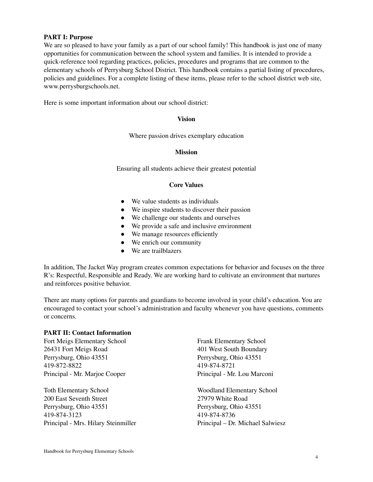#### **PART I: Purpose**

We are so pleased to have your family as a part of our school family! This handbook is just one of many opportunities for communication between the school system and families. It is intended to provide a quick-reference tool regarding practices, policies, procedures and programs that are common to the elementary schools of Perrysburg School District. This handbook contains a partial listing of procedures, policies and guidelines. For a complete listing of these items, please refer to the school district web site, www.perrysburgschools.net.

Here is some important information about our school district:

#### **Vision**

Where passion drives exemplary education

#### **Mission**

Ensuring all students achieve their greatest potential

#### **Core Values**

- We value students as individuals
- We inspire students to discover their passion
- We challenge our students and ourselves
- We provide a safe and inclusive environment
- We manage resources efficiently
- We enrich our community
- We are trailblazers

In addition, The Jacket Way program creates common expectations for behavior and focuses on the three R's: Respectful, Responsible and Ready. We are working hard to cultivate an environment that nurtures and reinforces positive behavior.

There are many options for parents and guardians to become involved in your child's education. You are encouraged to contact your school's administration and faculty whenever you have questions, comments or concerns.

#### **PART II: Contact Information**

Fort Meigs Elementary School Frank Elementary School 26431 Fort Meigs Road 401 West South Boundary Perrysburg, Ohio 43551 Perrysburg, Ohio 43551 419-872-8822 419-874-8721 Principal - Mr. Marjoe Cooper Principal - Mr. Lou Marconi

Toth Elementary School Woodland Elementary School 200 East Seventh Street 27979 White Road Perrysburg, Ohio 43551 Perrysburg, Ohio 43551 419-874-3123 419-874-8736 Principal - Mrs. Hilary Steinmiller Principal – Dr. Michael Salwiesz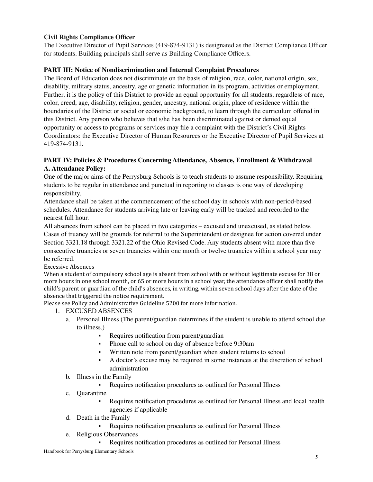# **Civil Rights Compliance Officer**

The Executive Director of Pupil Services (419-874-9131) is designated as the District Compliance Officer for students. Building principals shall serve as Building Compliance Officers.

# **PART III: Notice of Nondiscrimination and Internal Complaint Procedures**

The Board of Education does not discriminate on the basis of religion, race, color, national origin, sex, disability, military status, ancestry, age or genetic information in its program, activities or employment. Further, it is the policy of this District to provide an equal opportunity for all students, regardless of race, color, creed, age, disability, religion, gender, ancestry, national origin, place of residence within the boundaries of the District or social or economic background, to learn through the curriculum offered in this District. Any person who believes that s/he has been discriminated against or denied equal opportunity or access to programs or services may file a complaint with the District's Civil Rights Coordinators: the Executive Director of Human Resources or the Executive Director of Pupil Services at 419-874-9131.

# **PART IV: Policies & Procedures Concerning Attendance, Absence, Enrollment & Withdrawal A. Attendance Policy:**

One of the major aims of the Perrysburg Schools is to teach students to assume responsibility. Requiring students to be regular in attendance and punctual in reporting to classes is one way of developing responsibility.

Attendance shall be taken at the commencement of the school day in schools with non-period-based schedules. Attendance for students arriving late or leaving early will be tracked and recorded to the nearest full hour.

All absences from school can be placed in two categories – excused and unexcused, as stated below. Cases of truancy will be grounds for referral to the Superintendent or designee for action covered under Section 3321.18 through 3321.22 of the Ohio Revised Code. Any students absent with more than five consecutive truancies or seven truancies within one month or twelve truancies within a school year may be referred.

Excessive Absences

When a student of compulsory school age is absent from school with or without legitimate excuse for 38 or more hours in one school month, or 65 or more hours in a school year, the attendance officer shall notify the child's parent or guardian of the child's absences, in writing, within seven school days after the date of the absence that triggered the notice requirement.

Please see Policy and Administrative Guideline 5200 for more information.

- 1. EXCUSED ABSENCES
	- a. Personal Illness (The parent/guardian determines if the student is unable to attend school due to illness.)
		- Requires notification from parent/guardian
		- Phone call to school on day of absence before 9:30am
		- Written note from parent/guardian when student returns to school
		- A doctor's excuse may be required in some instances at the discretion of school administration
	- b. Illness in the Family
		- Requires notification procedures as outlined for Personal Illness
	- c. Quarantine
		- Requires notification procedures as outlined for Personal Illness and local health agencies if applicable
	- d. Death in the Family
		- Requires notification procedures as outlined for Personal Illness
	- e. Religious Observances
		- Requires notification procedures as outlined for Personal Illness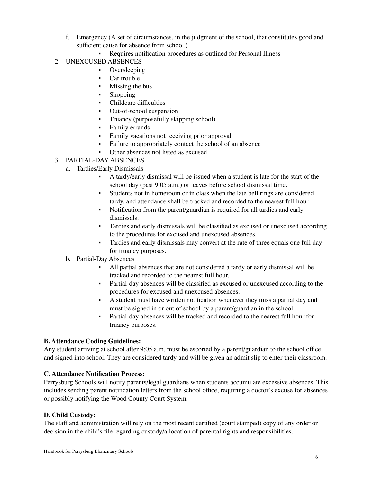- f. Emergency (A set of circumstances, in the judgment of the school, that constitutes good and sufficient cause for absence from school.)
	- Requires notification procedures as outlined for Personal Illness
- 2. UNEXCUSED ABSENCES
	- Oversleeping
	- Car trouble
	- **•** Missing the bus
	- Shopping
	- Childcare difficulties
	- Out-of-school suspension
	- Truancy (purposefully skipping school)
	- **•** Family errands
	- Family vacations not receiving prior approval
	- Failure to appropriately contact the school of an absence
	- Other absences not listed as excused
- 3. PARTIAL-DAY ABSENCES
	- a. Tardies/Early Dismissals
		- A tardy/early dismissal will be issued when a student is late for the start of the school day (past 9:05 a.m.) or leaves before school dismissal time.
		- Students not in homeroom or in class when the late bell rings are considered tardy, and attendance shall be tracked and recorded to the nearest full hour.
		- Notification from the parent/guardian is required for all tardies and early dismissals.
		- Tardies and early dismissals will be classified as excused or unexcused according to the procedures for excused and unexcused absences.
		- Tardies and early dismissals may convert at the rate of three equals one full day for truancy purposes.
		- b. Partial-Day Absences
			- All partial absences that are not considered a tardy or early dismissal will be tracked and recorded to the nearest full hour.
			- Partial-day absences will be classified as excused or unexcused according to the procedures for excused and unexcused absences.
			- A student must have written notification whenever they miss a partial day and must be signed in or out of school by a parent/guardian in the school.
			- Partial-day absences will be tracked and recorded to the nearest full hour for truancy purposes.

# **B. Attendance Coding Guidelines:**

Any student arriving at school after 9:05 a.m. must be escorted by a parent/guardian to the school office and signed into school. They are considered tardy and will be given an admit slip to enter their classroom.

#### **C. Attendance Notification Process:**

Perrysburg Schools will notify parents/legal guardians when students accumulate excessive absences. This includes sending parent notification letters from the school office, requiring a doctor's excuse for absences or possibly notifying the Wood County Court System.

# **D. Child Custody:**

The staff and administration will rely on the most recent certified (court stamped) copy of any order or decision in the child's file regarding custody/allocation of parental rights and responsibilities.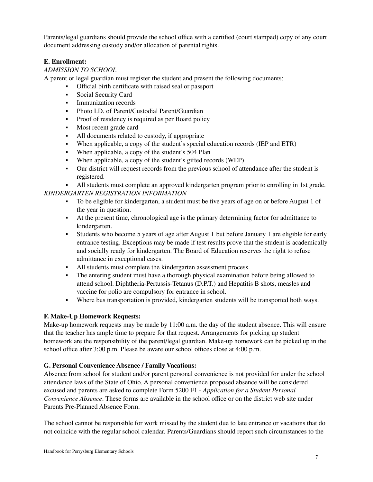Parents/legal guardians should provide the school office with a certified (court stamped) copy of any court document addressing custody and/or allocation of parental rights.

# **E. Enrollment:**

# *ADMISSION TO SCHOOL*

A parent or legal guardian must register the student and present the following documents:

- Official birth certificate with raised seal or passport
- Social Security Card
- **•** Immunization records
- Photo I.D. of Parent/Custodial Parent/Guardian
- Proof of residency is required as per Board policy
- Most recent grade card
- All documents related to custody, if appropriate
- When applicable, a copy of the student's special education records (IEP and ETR)
- When applicable, a copy of the student's 504 Plan
- When applicable, a copy of the student's gifted records (WEP)
- Our district will request records from the previous school of attendance after the student is registered.

▪ All students must complete an approved kindergarten program prior to enrolling in 1st grade. *KINDERGARTEN REGISTRATION INFORMATION*

- To be eligible for kindergarten, a student must be five years of age on or before August 1 of the year in question.
- At the present time, chronological age is the primary determining factor for admittance to kindergarten.
- Students who become 5 years of age after August 1 but before January 1 are eligible for early entrance testing. Exceptions may be made if test results prove that the student is academically and socially ready for kindergarten. The Board of Education reserves the right to refuse admittance in exceptional cases.
- All students must complete the kindergarten assessment process.
- The entering student must have a thorough physical examination before being allowed to attend school. Diphtheria-Pertussis-Tetanus (D.P.T.) and Hepatitis B shots, measles and vaccine for polio are compulsory for entrance in school.
- Where bus transportation is provided, kindergarten students will be transported both ways.

# **F. Make-Up Homework Requests:**

Make-up homework requests may be made by 11:00 a.m. the day of the student absence. This will ensure that the teacher has ample time to prepare for that request. Arrangements for picking up student homework are the responsibility of the parent/legal guardian. Make-up homework can be picked up in the school office after 3:00 p.m. Please be aware our school offices close at 4:00 p.m.

# **G. Personal Convenience Absence / Family Vacations:**

Absence from school for student and/or parent personal convenience is not provided for under the school attendance laws of the State of Ohio. A personal convenience proposed absence will be considered excused and parents are asked to complete Form 5200 F1 - *Application for a Student Personal Convenience Absence*. These forms are available in the school office or on the district web site under Parents Pre-Planned Absence Form.

The school cannot be responsible for work missed by the student due to late entrance or vacations that do not coincide with the regular school calendar. Parents/Guardians should report such circumstances to the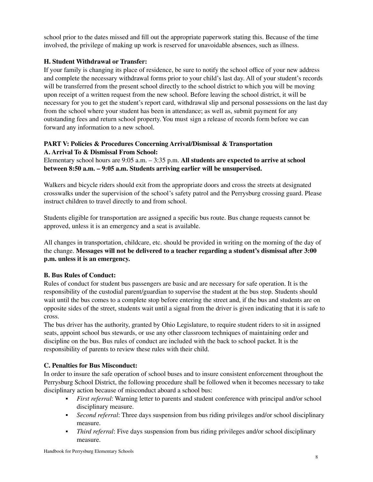school prior to the dates missed and fill out the appropriate paperwork stating this. Because of the time involved, the privilege of making up work is reserved for unavoidable absences, such as illness.

# **H. Student Withdrawal or Transfer:**

If your family is changing its place of residence, be sure to notify the school office of your new address and complete the necessary withdrawal forms prior to your child's last day. All of your student's records will be transferred from the present school directly to the school district to which you will be moving upon receipt of a written request from the new school. Before leaving the school district, it will be necessary for you to get the student's report card, withdrawal slip and personal possessions on the last day from the school where your student has been in attendance; as well as, submit payment for any outstanding fees and return school property. You must sign a release of records form before we can forward any information to a new school.

# **PART V: Policies & Procedures Concerning Arrival/Dismissal & Transportation A. Arrival To & Dismissal From School:**

Elementary school hours are 9:05 a.m. – 3:35 p.m. **All students are expected to arrive at school between 8:50 a.m. – 9:05 a.m. Students arriving earlier will be unsupervised.**

Walkers and bicycle riders should exit from the appropriate doors and cross the streets at designated crosswalks under the supervision of the school's safety patrol and the Perrysburg crossing guard. Please instruct children to travel directly to and from school.

Students eligible for transportation are assigned a specific bus route. Bus change requests cannot be approved, unless it is an emergency and a seat is available.

All changes in transportation, childcare, etc. should be provided in writing on the morning of the day of the change. **Messages will not be delivered to a teacher regarding a student's dismissal after 3:00 p.m. unless it is an emergency.**

# **B. Bus Rules of Conduct:**

Rules of conduct for student bus passengers are basic and are necessary for safe operation. It is the responsibility of the custodial parent/guardian to supervise the student at the bus stop. Students should wait until the bus comes to a complete stop before entering the street and, if the bus and students are on opposite sides of the street, students wait until a signal from the driver is given indicating that it is safe to cross.

The bus driver has the authority, granted by Ohio Legislature, to require student riders to sit in assigned seats, appoint school bus stewards, or use any other classroom techniques of maintaining order and discipline on the bus. Bus rules of conduct are included with the back to school packet. It is the responsibility of parents to review these rules with their child.

# **C. Penalties for Bus Misconduct:**

In order to insure the safe operation of school buses and to insure consistent enforcement throughout the Perrysburg School District, the following procedure shall be followed when it becomes necessary to take disciplinary action because of misconduct aboard a school bus:

- *First referral*: Warning letter to parents and student conference with principal and/or school disciplinary measure.
- *Second referral*: Three days suspension from bus riding privileges and/or school disciplinary measure.
- *Third referral*: Five days suspension from bus riding privileges and/or school disciplinary measure.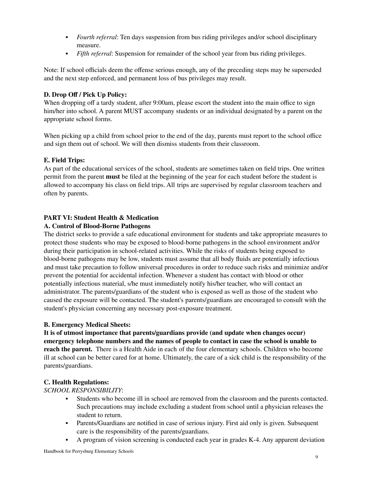- *Fourth referral*: Ten days suspension from bus riding privileges and/or school disciplinary measure.
- *Fifth referral*: Suspension for remainder of the school year from bus riding privileges.

Note: If school officials deem the offense serious enough, any of the preceding steps may be superseded and the next step enforced, and permanent loss of bus privileges may result.

# **D. Drop Off / Pick Up Policy:**

When dropping off a tardy student, after 9:00am, please escort the student into the main office to sign him/her into school. A parent MUST accompany students or an individual designated by a parent on the appropriate school forms.

When picking up a child from school prior to the end of the day, parents must report to the school office and sign them out of school. We will then dismiss students from their classroom.

# **E. Field Trips:**

As part of the educational services of the school, students are sometimes taken on field trips. One written permit from the parent **must** be filed at the beginning of the year for each student before the student is allowed to accompany his class on field trips. All trips are supervised by regular classroom teachers and often by parents.

# **PART VI: Student Health & Medication**

# **A. Control of Blood-Borne Pathogens**

The district seeks to provide a safe educational environment for students and take appropriate measures to protect those students who may be exposed to blood-borne pathogens in the school environment and/or during their participation in school-related activities. While the risks of students being exposed to blood-borne pathogens may be low, students must assume that all body fluids are potentially infectious and must take precaution to follow universal procedures in order to reduce such risks and minimize and/or prevent the potential for accidental infection. Whenever a student has contact with blood or other potentially infectious material, s/he must immediately notify his/her teacher, who will contact an administrator. The parents/guardians of the student who is exposed as well as those of the student who caused the exposure will be contacted. The student's parents/guardians are encouraged to consult with the student's physician concerning any necessary post-exposure treatment.

#### **B. Emergency Medical Sheets:**

**It is of utmost importance that parents/guardians provide (and update when changes occur) emergency telephone numbers and the names of people to contact in case the school is unable to reach the parent.** There is a Health Aide in each of the four elementary schools. Children who become ill at school can be better cared for at home. Ultimately, the care of a sick child is the responsibility of the parents/guardians.

#### **C. Health Regulations:**

*SCHOOL RESPONSIBILITY*:

- Students who become ill in school are removed from the classroom and the parents contacted. Such precautions may include excluding a student from school until a physician releases the student to return.
- **•** Parents/Guardians are notified in case of serious injury. First aid only is given. Subsequent care is the responsibility of the parents/guardians.
- A program of vision screening is conducted each year in grades K-4. Any apparent deviation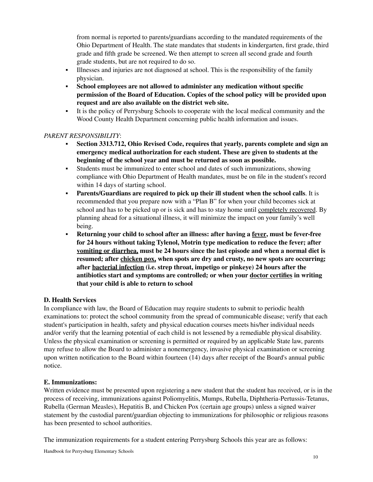from normal is reported to parents/guardians according to the mandated requirements of the Ohio Department of Health. The state mandates that students in kindergarten, first grade, third grade and fifth grade be screened. We then attempt to screen all second grade and fourth grade students, but are not required to do so.

- Illnesses and injuries are not diagnosed at school. This is the responsibility of the family physician.
- **School employees are not allowed to administer any medication without specific permission of the Board of Education. Copies of the school policy will be provided upon request and are also available on the district web site.**
- It is the policy of Perrysburg Schools to cooperate with the local medical community and the Wood County Health Department concerning public health information and issues.

# *PARENT RESPONSIBILITY*:

- **Section 3313.712, Ohio Revised Code, requires that yearly, parents complete and sign an emergency medical authorization for each student. These are given to students at the beginning of the school year and must be returned as soon as possible.**
- Students must be immunized to enter school and dates of such immunizations, showing compliance with Ohio Department of Health mandates, must be on file in the student's record within 14 days of starting school.
- **Parents/Guardians are required to pick up their ill student when the school calls**. It is recommended that you prepare now with a "Plan B" for when your child becomes sick at school and has to be picked up or is sick and has to stay home until completely recovered. By planning ahead for a situational illness, it will minimize the impact on your family's well being.
- **Returning your child to school after an illness: after having a fever, must be fever-free for 24 hours without taking Tylenol, Motrin type medication to reduce the fever; after vomiting or diarrhea, must be 24 hours since the last episode and when a normal diet is resumed; after chicken pox, when spots are dry and crusty, no new spots are occurring; after bacterial infection (i.e. strep throat, impetigo or pinkeye) 24 hours after the antibiotics start and symptoms are controlled; or when your doctor certifies in writing that your child is able to return to school**

# **D. Health Services**

In compliance with law, the Board of Education may require students to submit to periodic health examinations to: protect the school community from the spread of communicable disease; verify that each student's participation in health, safety and physical education courses meets his/her individual needs and/or verify that the learning potential of each child is not lessened by a remediable physical disability. Unless the physical examination or screening is permitted or required by an applicable State law, parents may refuse to allow the Board to administer a nonemergency, invasive physical examination or screening upon written notification to the Board within fourteen (14) days after receipt of the Board's annual public notice.

# **E. Immunizations:**

Written evidence must be presented upon registering a new student that the student has received, or is in the process of receiving, immunizations against Poliomyelitis, Mumps, Rubella, Diphtheria-Pertussis-Tetanus, Rubella (German Measles), Hepatitis B, and Chicken Pox (certain age groups) unless a signed waiver statement by the custodial parent/guardian objecting to immunizations for philosophic or religious reasons has been presented to school authorities.

The immunization requirements for a student entering Perrysburg Schools this year are as follows: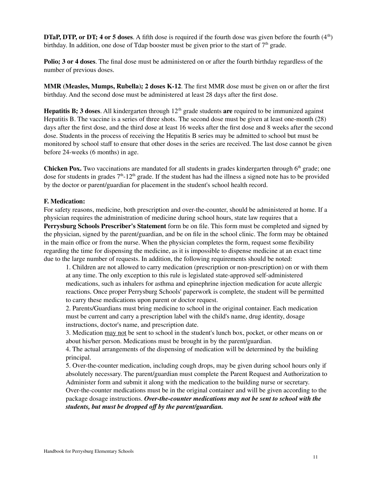**DTaP, DTP, or DT; 4 or 5 doses**. A fifth dose is required if the fourth dose was given before the fourth  $(4<sup>th</sup>)$ birthday. In addition, one dose of Tdap booster must be given prior to the start of  $7<sup>th</sup>$  grade.

**Polio; 3 or 4 doses**. The final dose must be administered on or after the fourth birthday regardless of the number of previous doses.

**MMR (Measles, Mumps, Rubella); 2 doses K-12**. The first MMR dose must be given on or after the first birthday. And the second dose must be administered at least 28 days after the first dose.

**Hepatitis B; 3 doses**. All kindergarten through 12<sup>th</sup> grade students are required to be immunized against Hepatitis B. The vaccine is a series of three shots. The second dose must be given at least one-month (28) days after the first dose, and the third dose at least 16 weeks after the first dose and 8 weeks after the second dose. Students in the process of receiving the Hepatitis B series may be admitted to school but must be monitored by school staff to ensure that other doses in the series are received. The last dose cannot be given before 24-weeks (6 months) in age.

Chicken Pox. Two vaccinations are mandated for all students in grades kindergarten through 6<sup>th</sup> grade; one dose for students in grades  $7<sup>th</sup> - 12<sup>th</sup>$  grade. If the student has had the illness a signed note has to be provided by the doctor or parent/guardian for placement in the student's school health record.

#### **F. Medication:**

For safety reasons, medicine, both prescription and over-the-counter, should be administered at home. If a physician requires the administration of medicine during school hours, state law requires that a **Perrysburg Schools Prescriber's Statement** form be on file. This form must be completed and signed by the physician, signed by the parent/guardian, and be on file in the school clinic. The form may be obtained in the main office or from the nurse. When the physician completes the form, request some flexibility regarding the time for dispensing the medicine, as it is impossible to dispense medicine at an exact time due to the large number of requests. In addition, the following requirements should be noted:

1. Children are not allowed to carry medication (prescription or non-prescription) on or with them at any time. The only exception to this rule is legislated state-approved self-administered medications, such as inhalers for asthma and epinephrine injection medication for acute allergic reactions. Once proper Perrysburg Schools' paperwork is complete, the student will be permitted to carry these medications upon parent or doctor request.

2. Parents/Guardians must bring medicine to school in the original container. Each medication must be current and carry a prescription label with the child's name, drug identity, dosage instructions, doctor's name, and prescription date.

3. Medication may not be sent to school in the student's lunch box, pocket, or other means on or about his/her person. Medications must be brought in by the parent/guardian.

4. The actual arrangements of the dispensing of medication will be determined by the building principal.

5. Over-the-counter medication, including cough drops, may be given during school hours only if absolutely necessary. The parent/guardian must complete the Parent Request and Authorization to Administer form and submit it along with the medication to the building nurse or secretary.

Over-the-counter medications must be in the original container and will be given according to the package dosage instructions. *Over-the-counter medications may not be sent to school with the students, but must be dropped off by the parent/guardian.*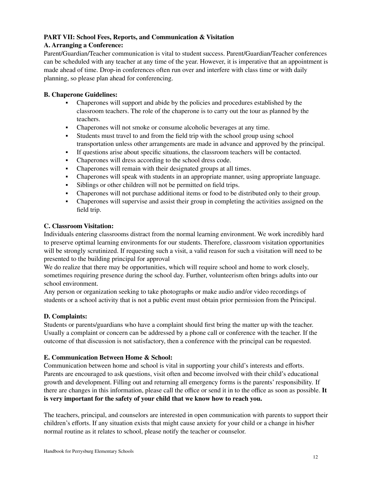# **PART VII: School Fees, Reports, and Communication & Visitation**

# **A. Arranging a Conference:**

Parent/Guardian/Teacher communication is vital to student success. Parent/Guardian/Teacher conferences can be scheduled with any teacher at any time of the year. However, it is imperative that an appointment is made ahead of time. Drop-in conferences often run over and interfere with class time or with daily planning, so please plan ahead for conferencing.

# **B. Chaperone Guidelines:**

- Chaperones will support and abide by the policies and procedures established by the classroom teachers. The role of the chaperone is to carry out the tour as planned by the teachers.
- Chaperones will not smoke or consume alcoholic beverages at any time.
- Students must travel to and from the field trip with the school group using school transportation unless other arrangements are made in advance and approved by the principal.
- If questions arise about specific situations, the classroom teachers will be contacted.
- Chaperones will dress according to the school dress code.
- Chaperones will remain with their designated groups at all times.
- Chaperones will speak with students in an appropriate manner, using appropriate language.
- Siblings or other children will not be permitted on field trips.
- Chaperones will not purchase additional items or food to be distributed only to their group.
- Chaperones will supervise and assist their group in completing the activities assigned on the field trip.

# **C. Classroom Visitation:**

Individuals entering classrooms distract from the normal learning environment. We work incredibly hard to preserve optimal learning environments for our students. Therefore, classroom visitation opportunities will be strongly scrutinized. If requesting such a visit, a valid reason for such a visitation will need to be presented to the building principal for approval

We do realize that there may be opportunities, which will require school and home to work closely, sometimes requiring presence during the school day. Further, volunteerism often brings adults into our school environment.

Any person or organization seeking to take photographs or make audio and/or video recordings of students or a school activity that is not a public event must obtain prior permission from the Principal.

# **D. Complaints:**

Students or parents/guardians who have a complaint should first bring the matter up with the teacher. Usually a complaint or concern can be addressed by a phone call or conference with the teacher. If the outcome of that discussion is not satisfactory, then a conference with the principal can be requested.

# **E. Communication Between Home & School:**

Communication between home and school is vital in supporting your child's interests and efforts. Parents are encouraged to ask questions, visit often and become involved with their child's educational growth and development. Filling out and returning all emergency forms is the parents' responsibility. If there are changes in this information, please call the office or send it in to the office as soon as possible. **It is very important for the safety of your child that we know how to reach you.**

The teachers, principal, and counselors are interested in open communication with parents to support their children's efforts. If any situation exists that might cause anxiety for your child or a change in his/her normal routine as it relates to school, please notify the teacher or counselor.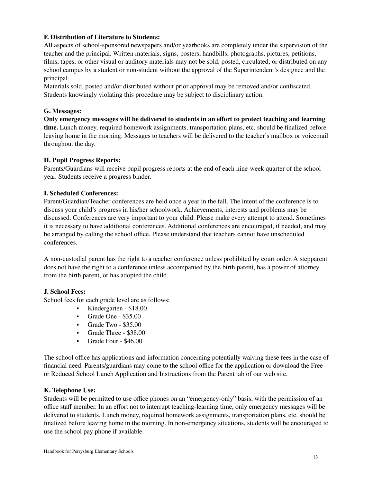# **F. Distribution of Literature to Students:**

All aspects of school-sponsored newspapers and/or yearbooks are completely under the supervision of the teacher and the principal. Written materials, signs, posters, handbills, photographs, pictures, petitions, films, tapes, or other visual or auditory materials may not be sold, posted, circulated, or distributed on any school campus by a student or non-student without the approval of the Superintendent's designee and the principal.

Materials sold, posted and/or distributed without prior approval may be removed and/or confiscated. Students knowingly violating this procedure may be subject to disciplinary action.

#### **G. Messages:**

**Only emergency messages will be delivered to students in an effort to protect teaching and learning time.** Lunch money, required homework assignments, transportation plans, etc. should be finalized before leaving home in the morning. Messages to teachers will be delivered to the teacher's mailbox or voicemail throughout the day.

#### **H. Pupil Progress Reports:**

Parents/Guardians will receive pupil progress reports at the end of each nine-week quarter of the school year. Students receive a progress binder.

#### **I. Scheduled Conferences:**

Parent/Guardian/Teacher conferences are held once a year in the fall. The intent of the conference is to discuss your child's progress in his/her schoolwork. Achievements, interests and problems may be discussed. Conferences are very important to your child. Please make every attempt to attend. Sometimes it is necessary to have additional conferences. Additional conferences are encouraged, if needed, and may be arranged by calling the school office. Please understand that teachers cannot have unscheduled conferences.

A non-custodial parent has the right to a teacher conference unless prohibited by court order. A stepparent does not have the right to a conference unless accompanied by the birth parent, has a power of attorney from the birth parent, or has adopted the child.

#### **J. School Fees:**

School fees for each grade level are as follows:

- Kindergarten \$18.00
- Grade One \$35.00
- Grade Two \$35.00
- Grade Three \$38.00
- Grade Four \$46.00

The school office has applications and information concerning potentially waiving these fees in the case of financial need. Parents/guardians may come to the school office for the application or download the Free or Reduced School Lunch Application and Instructions from the Parent tab of our web site.

#### **K. Telephone Use:**

Students will be permitted to use office phones on an "emergency-only" basis, with the permission of an office staff member. In an effort not to interrupt teaching-learning time, only emergency messages will be delivered to students. Lunch money, required homework assignments, transportation plans, etc. should be finalized before leaving home in the morning. In non-emergency situations, students will be encouraged to use the school pay phone if available.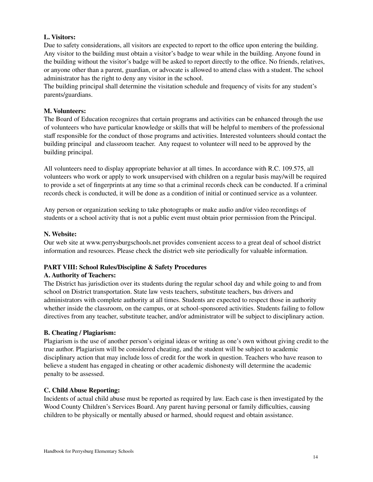# **L. Visitors:**

Due to safety considerations, all visitors are expected to report to the office upon entering the building. Any visitor to the building must obtain a visitor's badge to wear while in the building. Anyone found in the building without the visitor's badge will be asked to report directly to the office. No friends, relatives, or anyone other than a parent, guardian, or advocate is allowed to attend class with a student. The school administrator has the right to deny any visitor in the school.

The building principal shall determine the visitation schedule and frequency of visits for any student's parents/guardians.

#### **M. Volunteers:**

The Board of Education recognizes that certain programs and activities can be enhanced through the use of volunteers who have particular knowledge or skills that will be helpful to members of the professional staff responsible for the conduct of those programs and activities. Interested volunteers should contact the building principal and classroom teacher. Any request to volunteer will need to be approved by the building principal.

All volunteers need to display appropriate behavior at all times. In accordance with R.C. 109.575, all volunteers who work or apply to work unsupervised with children on a regular basis may/will be required to provide a set of fingerprints at any time so that a criminal records check can be conducted. If a criminal records check is conducted, it will be done as a condition of initial or continued service as a volunteer.

Any person or organization seeking to take photographs or make audio and/or video recordings of students or a school activity that is not a public event must obtain prior permission from the Principal.

#### **N. Website:**

Our web site at [www.perrysburgschools.net](http://www.perrysburgschools.net) provides convenient access to a great deal of school district information and resources. Please check the district web site periodically for valuable information.

#### **PART VIII: School Rules/Discipline & Safety Procedures**

#### **A. Authority of Teachers:**

The District has jurisdiction over its students during the regular school day and while going to and from school on District transportation. State law vests teachers, substitute teachers, bus drivers and administrators with complete authority at all times. Students are expected to respect those in authority whether inside the classroom, on the campus, or at school-sponsored activities. Students failing to follow directives from any teacher, substitute teacher, and/or administrator will be subject to disciplinary action.

#### **B. Cheating / Plagiarism:**

Plagiarism is the use of another person's original ideas or writing as one's own without giving credit to the true author. Plagiarism will be considered cheating, and the student will be subject to academic disciplinary action that may include loss of credit for the work in question. Teachers who have reason to believe a student has engaged in cheating or other academic dishonesty will determine the academic penalty to be assessed.

#### **C. Child Abuse Reporting:**

Incidents of actual child abuse must be reported as required by law. Each case is then investigated by the Wood County Children's Services Board. Any parent having personal or family difficulties, causing children to be physically or mentally abused or harmed, should request and obtain assistance.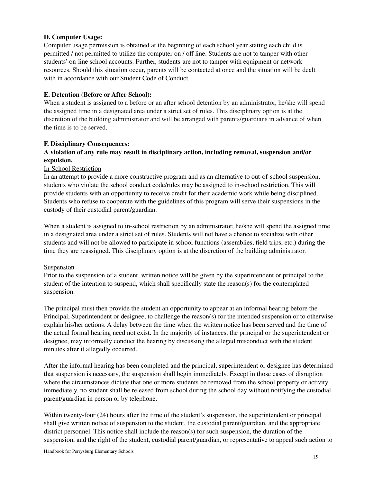# **D. Computer Usage:**

Computer usage permission is obtained at the beginning of each school year stating each child is permitted / not permitted to utilize the computer on / off line. Students are not to tamper with other students' on-line school accounts. Further, students are not to tamper with equipment or network resources. Should this situation occur, parents will be contacted at once and the situation will be dealt with in accordance with our Student Code of Conduct.

#### **E. Detention (Before or After School):**

When a student is assigned to a before or an after school detention by an administrator, he/she will spend the assigned time in a designated area under a strict set of rules. This disciplinary option is at the discretion of the building administrator and will be arranged with parents/guardians in advance of when the time is to be served.

#### **F. Disciplinary Consequences:**

# **A violation of any rule may result in disciplinary action, including removal, suspension and/or expulsion.**

#### In-School Restriction

In an attempt to provide a more constructive program and as an alternative to out-of-school suspension, students who violate the school conduct code/rules may be assigned to in-school restriction. This will provide students with an opportunity to receive credit for their academic work while being disciplined. Students who refuse to cooperate with the guidelines of this program will serve their suspensions in the custody of their custodial parent/guardian.

When a student is assigned to in-school restriction by an administrator, he/she will spend the assigned time in a designated area under a strict set of rules. Students will not have a chance to socialize with other students and will not be allowed to participate in school functions (assemblies, field trips, etc.) during the time they are reassigned. This disciplinary option is at the discretion of the building administrator.

#### **Suspension**

Prior to the suspension of a student, written notice will be given by the superintendent or principal to the student of the intention to suspend, which shall specifically state the reason(s) for the contemplated suspension.

The principal must then provide the student an opportunity to appear at an informal hearing before the Principal, Superintendent or designee, to challenge the reason(s) for the intended suspension or to otherwise explain his/her actions. A delay between the time when the written notice has been served and the time of the actual formal hearing need not exist. In the majority of instances, the principal or the superintendent or designee, may informally conduct the hearing by discussing the alleged misconduct with the student minutes after it allegedly occurred.

After the informal hearing has been completed and the principal, superintendent or designee has determined that suspension is necessary, the suspension shall begin immediately. Except in those cases of disruption where the circumstances dictate that one or more students be removed from the school property or activity immediately, no student shall be released from school during the school day without notifying the custodial parent/guardian in person or by telephone.

Within twenty-four (24) hours after the time of the student's suspension, the superintendent or principal shall give written notice of suspension to the student, the custodial parent/guardian, and the appropriate district personnel. This notice shall include the reason(s) for such suspension, the duration of the suspension, and the right of the student, custodial parent/guardian, or representative to appeal such action to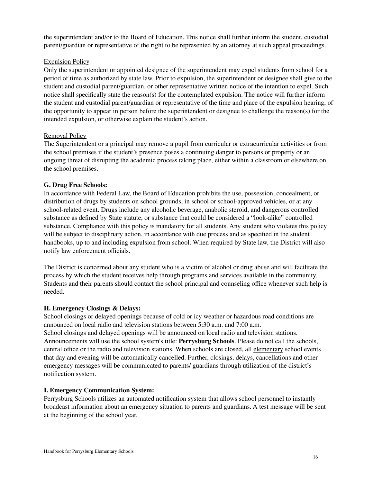the superintendent and/or to the Board of Education. This notice shall further inform the student, custodial parent/guardian or representative of the right to be represented by an attorney at such appeal proceedings.

# Expulsion Policy

Only the superintendent or appointed designee of the superintendent may expel students from school for a period of time as authorized by state law. Prior to expulsion, the superintendent or designee shall give to the student and custodial parent/guardian, or other representative written notice of the intention to expel. Such notice shall specifically state the reason(s) for the contemplated expulsion. The notice will further inform the student and custodial parent/guardian or representative of the time and place of the expulsion hearing, of the opportunity to appear in person before the superintendent or designee to challenge the reason(s) for the intended expulsion, or otherwise explain the student's action.

# Removal Policy

The Superintendent or a principal may remove a pupil from curricular or extracurricular activities or from the school premises if the student's presence poses a continuing danger to persons or property or an ongoing threat of disrupting the academic process taking place, either within a classroom or elsewhere on the school premises.

# **G. Drug Free Schools:**

In accordance with Federal Law, the Board of Education prohibits the use, possession, concealment, or distribution of drugs by students on school grounds, in school or school-approved vehicles, or at any school-related event. Drugs include any alcoholic beverage, anabolic steroid, and dangerous controlled substance as defined by State statute, or substance that could be considered a "look-alike" controlled substance. Compliance with this policy is mandatory for all students. Any student who violates this policy will be subject to disciplinary action, in accordance with due process and as specified in the student handbooks, up to and including expulsion from school. When required by State law, the District will also notify law enforcement officials.

The District is concerned about any student who is a victim of alcohol or drug abuse and will facilitate the process by which the student receives help through programs and services available in the community. Students and their parents should contact the school principal and counseling office whenever such help is needed.

# **H. Emergency Closings & Delays:**

School closings or delayed openings because of cold or icy weather or hazardous road conditions are announced on local radio and television stations between 5:30 a.m. and 7:00 a.m.

School closings and delayed openings will be announced on local radio and television stations. Announcements will use the school system's title: **Perrysburg Schools**. Please do not call the schools, central office or the radio and television stations. When schools are closed, all elementary school events that day and evening will be automatically cancelled. Further, closings, delays, cancellations and other emergency messages will be communicated to parents/ guardians through utilization of the district's notification system.

# **I. Emergency Communication System:**

Perrysburg Schools utilizes an automated notification system that allows school personnel to instantly broadcast information about an emergency situation to parents and guardians. A test message will be sent at the beginning of the school year.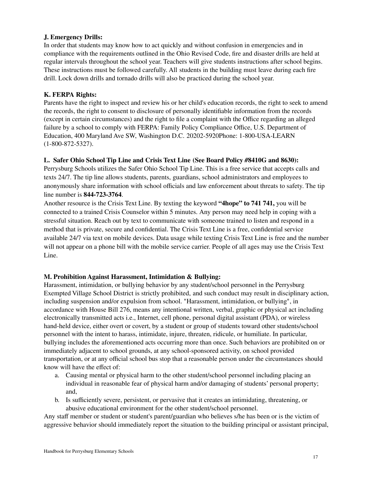# **J. Emergency Drills:**

In order that students may know how to act quickly and without confusion in emergencies and in compliance with the requirements outlined in the Ohio Revised Code, fire and disaster drills are held at regular intervals throughout the school year. Teachers will give students instructions after school begins. These instructions must be followed carefully. All students in the building must leave during each fire drill. Lock down drills and tornado drills will also be practiced during the school year.

#### **K. FERPA Rights:**

Parents have the right to inspect and review his or her child's education records, the right to seek to amend the records, the right to consent to disclosure of personally identifiable information from the records (except in certain circumstances) and the right to file a complaint with the Office regarding an alleged failure by a school to comply with FERPA: Family Policy Compliance Office, U.S. Department of Education, 400 Maryland Ave SW, Washington D.C. 20202-5920Phone: 1-800-USA-LEARN (1-800-872-5327).

# **L. Safer Ohio School Tip Line and Crisis Text Line (See Board Policy #8410G and 8630):**

Perrysburg Schools utilizes the Safer Ohio School Tip Line. This is a free service that accepts calls and texts 24/7. The tip line allows students, parents, guardians, school administrators and employees to anonymously share information with school officials and law enforcement about threats to safety. The tip line number is **844-723-3764**.

Another resource is the Crisis Text Line. By texting the keyword **"4hope" to 741 741,** you will be connected to a trained Crisis Counselor within 5 minutes. Any person may need help in coping with a stressful situation. Reach out by text to communicate with someone trained to listen and respond in a method that is private, secure and confidential. The Crisis Text Line is a free, confidential service available 24/7 via text on mobile devices. Data usage while texting Crisis Text Line is free and the number will not appear on a phone bill with the mobile service carrier. People of all ages may use the Crisis Text Line.

# **M. Prohibition Against Harassment, Intimidation & Bullying:**

Harassment, intimidation, or bullying behavior by any student/school personnel in the Perrysburg Exempted Village School District is strictly prohibited, and such conduct may result in disciplinary action, including suspension and/or expulsion from school. "Harassment, intimidation, or bullying", in accordance with House Bill 276, means any intentional written, verbal, graphic or physical act including electronically transmitted acts i.e., Internet, cell phone, personal digital assistant (PDA), or wireless hand-held device, either overt or covert, by a student or group of students toward other students/school personnel with the intent to harass, intimidate, injure, threaten, ridicule, or humiliate. In particular, bullying includes the aforementioned acts occurring more than once. Such behaviors are prohibited on or immediately adjacent to school grounds, at any school-sponsored activity, on school provided transportation, or at any official school bus stop that a reasonable person under the circumstances should know will have the effect of:

- a. Causing mental or physical harm to the other student/school personnel including placing an individual in reasonable fear of physical harm and/or damaging of students' personal property; and,
- b. Is sufficiently severe, persistent, or pervasive that it creates an intimidating, threatening, or abusive educational environment for the other student/school personnel.

Any staff member or student or student's parent/guardian who believes s/he has been or is the victim of aggressive behavior should immediately report the situation to the building principal or assistant principal,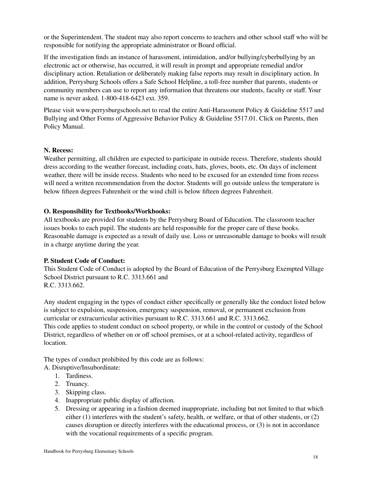or the Superintendent. The student may also report concerns to teachers and other school staff who will be responsible for notifying the appropriate administrator or Board official.

If the investigation finds an instance of harassment, intimidation, and/or bullying/cyberbullying by an electronic act or otherwise, has occurred, it will result in prompt and appropriate remedial and/or disciplinary action. Retaliation or deliberately making false reports may result in disciplinary action. In addition, Perrysburg Schools offers a Safe School Helpline, a toll-free number that parents, students or community members can use to report any information that threatens our students, faculty or staff. Your name is never asked. 1-800-418-6423 ext. 359.

Please visit [www.perrysburgschools.net](http://www.perrysburgschools.net) to read the entire Anti-Harassment Policy & Guideline 5517 and Bullying and Other Forms of Aggressive Behavior Policy & Guideline 5517.01. Click on Parents, then Policy Manual.

#### **N. Recess:**

Weather permitting, all children are expected to participate in outside recess. Therefore, students should dress according to the weather forecast, including coats, hats, gloves, boots, etc. On days of inclement weather, there will be inside recess. Students who need to be excused for an extended time from recess will need a written recommendation from the doctor. Students will go outside unless the temperature is below fifteen degrees Fahrenheit or the wind chill is below fifteen degrees Fahrenheit.

#### **O. Responsibility for Textbooks/Workbooks:**

All textbooks are provided for students by the Perrysburg Board of Education. The classroom teacher issues books to each pupil. The students are held responsible for the proper care of these books. Reasonable damage is expected as a result of daily use. Loss or unreasonable damage to books will result in a charge anytime during the year.

#### **P. Student Code of Conduct:**

This Student Code of Conduct is adopted by the Board of Education of the Perrysburg Exempted Village School District pursuant to R.C. 3313.661 and R.C. 3313.662.

Any student engaging in the types of conduct either specifically or generally like the conduct listed below is subject to expulsion, suspension, emergency suspension, removal, or permanent exclusion from curricular or extracurricular activities pursuant to R.C. 3313.661 and R.C. 3313.662.

This code applies to student conduct on school property, or while in the control or custody of the School District, regardless of whether on or off school premises, or at a school-related activity, regardless of location.

The types of conduct prohibited by this code are as follows:

#### A. Disruptive/Insubordinate:

- 1. Tardiness.
- 2. Truancy.
- 3. Skipping class.
- 4. Inappropriate public display of affection.
- 5. Dressing or appearing in a fashion deemed inappropriate, including but not limited to that which either (1) interferes with the student's safety, health, or welfare, or that of other students, or (2) causes disruption or directly interferes with the educational process, or (3) is not in accordance with the vocational requirements of a specific program.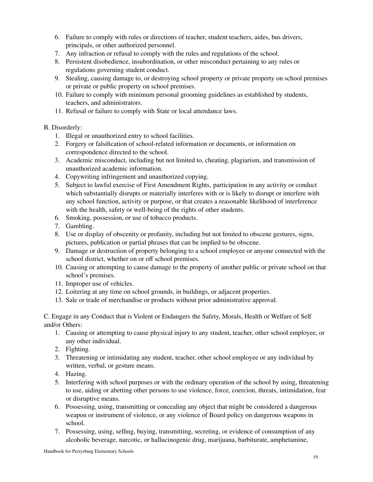- 6. Failure to comply with rules or directions of teacher, student teachers, aides, bus drivers, principals, or other authorized personnel.
- 7. Any infraction or refusal to comply with the rules and regulations of the school.
- 8. Persistent disobedience, insubordination, or other misconduct pertaining to any rules or regulations governing student conduct.
- 9. Stealing, causing damage to, or destroying school property or private property on school premises or private or public property on school premises.
- 10. Failure to comply with minimum personal grooming guidelines as established by students, teachers, and administrators.
- 11. Refusal or failure to comply with State or local attendance laws.

# B. Disorderly:

- 1. Illegal or unauthorized entry to school facilities.
- 2. Forgery or falsification of school-related information or documents, or information on correspondence directed to the school.
- 3. Academic misconduct, including but not limited to, cheating, plagiarism, and transmission of unauthorized academic information.
- 4. Copywriting infringement and unauthorized copying.
- 5. Subject to lawful exercise of First Amendment Rights, participation in any activity or conduct which substantially disrupts or materially interferes with or is likely to disrupt or interfere with any school function, activity or purpose, or that creates a reasonable likelihood of interference with the health, safety or well-being of the rights of other students.
- 6. Smoking, possession, or use of tobacco products.
- 7. Gambling.
- 8. Use or display of obscenity or profanity, including but not limited to obscene gestures, signs, pictures, publication or partial phrases that can be implied to be obscene.
- 9. Damage or destruction of property belonging to a school employee or anyone connected with the school district, whether on or off school premises.
- 10. Causing or attempting to cause damage to the property of another public or private school on that school's premises.
- 11. Improper use of vehicles.
- 12. Loitering at any time on school grounds, in buildings, or adjacent properties.
- 13. Sale or trade of merchandise or products without prior administrative approval.

C. Engage in any Conduct that is Violent or Endangers the Safety, Morals, Health or Welfare of Self and/or Others:

- 1. Causing or attempting to cause physical injury to any student, teacher, other school employee, or any other individual.
- 2. Fighting.
- 3. Threatening or intimidating any student, teacher, other school employee or any individual by written, verbal, or gesture means.
- 4. Hazing.
- 5. Interfering with school purposes or with the ordinary operation of the school by using, threatening to use, aiding or abetting other persons to use violence, force, coercion, threats, intimidation, fear or disruptive means.
- 6. Possessing, using, transmitting or concealing any object that might be considered a dangerous weapon or instrument of violence, or any violence of Board policy on dangerous weapons in school.
- 7. Possessing, using, selling, buying, transmitting, secreting, or evidence of consumption of any alcoholic beverage, narcotic, or hallucinogenic drug, marijuana, barbiturate, amphetamine,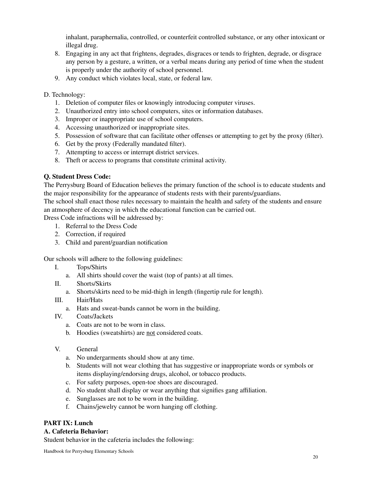inhalant, paraphernalia, controlled, or counterfeit controlled substance, or any other intoxicant or illegal drug.

- 8. Engaging in any act that frightens, degrades, disgraces or tends to frighten, degrade, or disgrace any person by a gesture, a written, or a verbal means during any period of time when the student is properly under the authority of school personnel.
- 9. Any conduct which violates local, state, or federal law.

# D. Technology:

- 1. Deletion of computer files or knowingly introducing computer viruses.
- 2. Unauthorized entry into school computers, sites or information databases.
- 3. Improper or inappropriate use of school computers.
- 4. Accessing unauthorized or inappropriate sites.
- 5. Possession of software that can facilitate other offenses or attempting to get by the proxy (filter).
- 6. Get by the proxy (Federally mandated filter).
- 7. Attempting to access or interrupt district services.
- 8. Theft or access to programs that constitute criminal activity.

# **Q. Student Dress Code:**

The Perrysburg Board of Education believes the primary function of the school is to educate students and the major responsibility for the appearance of students rests with their parents/guardians.

The school shall enact those rules necessary to maintain the health and safety of the students and ensure an atmosphere of decency in which the educational function can be carried out.

Dress Code infractions will be addressed by:

- 1. Referral to the Dress Code
- 2. Correction, if required
- 3. Child and parent/guardian notification

Our schools will adhere to the following guidelines:

- I. Tops/Shirts
	- a. All shirts should cover the waist (top of pants) at all times.
- II. Shorts/Skirts
	- a. Shorts/skirts need to be mid-thigh in length (fingertip rule for length).
- III. Hair/Hats
	- a. Hats and sweat-bands cannot be worn in the building.
- IV. Coats/Jackets
	- a. Coats are not to be worn in class.
	- b. Hoodies (sweatshirts) are not considered coats.
- V. General
	- a. No undergarments should show at any time.
	- b. Students will not wear clothing that has suggestive or inappropriate words or symbols or items displaying/endorsing drugs, alcohol, or tobacco products.
	- c. For safety purposes, open-toe shoes are discouraged.
	- d. No student shall display or wear anything that signifies gang affiliation.
	- e. Sunglasses are not to be worn in the building.
	- f. Chains/jewelry cannot be worn hanging off clothing.

# **PART IX: Lunch**

# **A. Cafeteria Behavior:**

Student behavior in the cafeteria includes the following: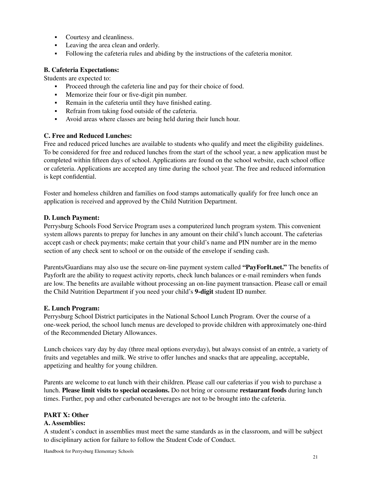- Courtesy and cleanliness.
- Leaving the area clean and orderly.
- Following the cafeteria rules and abiding by the instructions of the cafeteria monitor.

#### **B. Cafeteria Expectations:**

Students are expected to:

- Proceed through the cafeteria line and pay for their choice of food.
- Memorize their four or five-digit pin number.
- Remain in the cafeteria until they have finished eating.
- **•** Refrain from taking food outside of the cafeteria.
- Avoid areas where classes are being held during their lunch hour.

# **C. Free and Reduced Lunches:**

Free and reduced priced lunches are available to students who qualify and meet the eligibility guidelines. To be considered for free and reduced lunches from the start of the school year, a new application must be completed within fifteen days of school. Applications are found on the school website, each school office or cafeteria. Applications are accepted any time during the school year. The free and reduced information is kept confidential.

Foster and homeless children and families on food stamps automatically qualify for free lunch once an application is received and approved by the Child Nutrition Department.

# **D. Lunch Payment:**

Perrysburg Schools Food Service Program uses a computerized lunch program system. This convenient system allows parents to prepay for lunches in any amount on their child's lunch account. The cafeterias accept cash or check payments; make certain that your child's name and PIN number are in the memo section of any check sent to school or on the outside of the envelope if sending cash.

Parents/Guardians may also use the secure on-line payment system called **"PayForIt.net."** The benefits of PayforIt are the ability to request activity reports, check lunch balances or e-mail reminders when funds are low. The benefits are available without processing an on-line payment transaction. Please call or email the Child Nutrition Department if you need your child's **9-digit** student ID number.

#### **E. Lunch Program:**

Perrysburg School District participates in the National School Lunch Program. Over the course of a one-week period, the school lunch menus are developed to provide children with approximately one-third of the Recommended Dietary Allowances.

Lunch choices vary day by day (three meal options everyday), but always consist of an entrée, a variety of fruits and vegetables and milk. We strive to offer lunches and snacks that are appealing, acceptable, appetizing and healthy for young children.

Parents are welcome to eat lunch with their children. Please call our cafeterias if you wish to purchase a lunch. **Please limit visits to special occasions.** Do not bring or consume **restaurant foods** during lunch times. Further, pop and other carbonated beverages are not to be brought into the cafeteria.

#### **PART X: Other**

#### **A. Assemblies:**

A student's conduct in assemblies must meet the same standards as in the classroom, and will be subject to disciplinary action for failure to follow the Student Code of Conduct.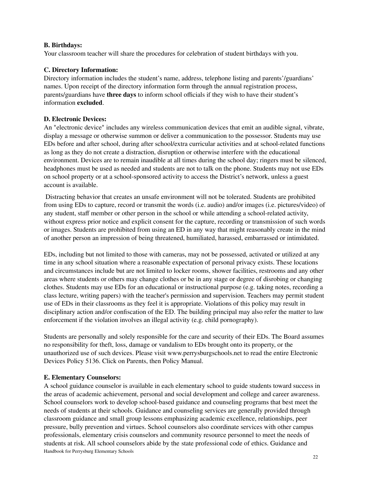# **B. Birthdays:**

Your classroom teacher will share the procedures for celebration of student birthdays with you.

# **C. Directory Information:**

Directory information includes the student's name, address, telephone listing and parents'/guardians' names. Upon receipt of the directory information form through the annual registration process, parents/guardians have **three days** to inform school officials if they wish to have their student's information **excluded**.

# **D. Electronic Devices:**

An "electronic device" includes any wireless communication devices that emit an audible signal, vibrate, display a message or otherwise summon or deliver a communication to the possessor. Students may use EDs before and after school, during after school/extra curricular activities and at school-related functions as long as they do not create a distraction, disruption or otherwise interfere with the educational environment. Devices are to remain inaudible at all times during the school day; ringers must be silenced, headphones must be used as needed and students are not to talk on the phone. Students may not use EDs on school property or at a school-sponsored activity to access the District's network, unless a guest account is available.

Distracting behavior that creates an unsafe environment will not be tolerated. Students are prohibited from using EDs to capture, record or transmit the words (i.e. audio) and/or images (i.e. pictures/video) of any student, staff member or other person in the school or while attending a school-related activity, without express prior notice and explicit consent for the capture, recording or transmission of such words or images. Students are prohibited from using an ED in any way that might reasonably create in the mind of another person an impression of being threatened, humiliated, harassed, embarrassed or intimidated.

EDs, including but not limited to those with cameras, may not be possessed, activated or utilized at any time in any school situation where a reasonable expectation of personal privacy exists. These locations and circumstances include but are not limited to locker rooms, shower facilities, restrooms and any other areas where students or others may change clothes or be in any stage or degree of disrobing or changing clothes. Students may use EDs for an educational or instructional purpose (e.g. taking notes, recording a class lecture, writing papers) with the teacher's permission and supervision. Teachers may permit student use of EDs in their classrooms as they feel it is appropriate. Violations of this policy may result in disciplinary action and/or confiscation of the ED. The building principal may also refer the matter to law enforcement if the violation involves an illegal activity (e.g. child pornography).

Students are personally and solely responsible for the care and security of their EDs. The Board assumes no responsibility for theft, loss, damage or vandalism to EDs brought onto its property, or the unauthorized use of such devices. Please visit [www.perrysburgschools.net](http://www.perrysburgschools.net) to read the entire Electronic Devices Policy 5136. Click on Parents, then Policy Manual.

#### **E. Elementary Counselors:**

A school guidance counselor is available in each elementary school to guide students toward success in the areas of academic achievement, personal and social development and college and career awareness. School counselors work to develop school-based guidance and counseling programs that best meet the needs of students at their schools. Guidance and counseling services are generally provided through classroom guidance and small group lessons emphasizing academic excellence, relationships, peer pressure, bully prevention and virtues. School counselors also coordinate services with other campus professionals, elementary crisis counselors and community resource personnel to meet the needs of students at risk. All school counselors abide by the state professional code of ethics. Guidance and Handbook for Perrysburg Elementary Schools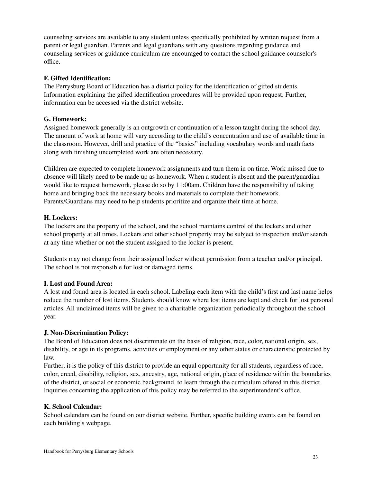counseling services are available to any student unless specifically prohibited by written request from a parent or legal guardian. Parents and legal guardians with any questions regarding guidance and counseling services or guidance curriculum are encouraged to contact the school guidance counselor's office.

#### **F. Gifted Identification:**

The Perrysburg Board of Education has a district policy for the identification of gifted students. Information explaining the gifted identification procedures will be provided upon request. Further, information can be accessed via the district website.

#### **G. Homework:**

Assigned homework generally is an outgrowth or continuation of a lesson taught during the school day. The amount of work at home will vary according to the child's concentration and use of available time in the classroom. However, drill and practice of the "basics" including vocabulary words and math facts along with finishing uncompleted work are often necessary.

Children are expected to complete homework assignments and turn them in on time. Work missed due to absence will likely need to be made up as homework. When a student is absent and the parent/guardian would like to request homework, please do so by 11:00am. Children have the responsibility of taking home and bringing back the necessary books and materials to complete their homework. Parents/Guardians may need to help students prioritize and organize their time at home.

# **H. Lockers:**

The lockers are the property of the school, and the school maintains control of the lockers and other school property at all times. Lockers and other school property may be subject to inspection and/or search at any time whether or not the student assigned to the locker is present.

Students may not change from their assigned locker without permission from a teacher and/or principal. The school is not responsible for lost or damaged items.

#### **I. Lost and Found Area:**

A lost and found area is located in each school. Labeling each item with the child's first and last name helps reduce the number of lost items. Students should know where lost items are kept and check for lost personal articles. All unclaimed items will be given to a charitable organization periodically throughout the school year.

#### **J. Non-Discrimination Policy:**

The Board of Education does not discriminate on the basis of religion, race, color, national origin, sex, disability, or age in its programs, activities or employment or any other status or characteristic protected by law.

Further, it is the policy of this district to provide an equal opportunity for all students, regardless of race, color, creed, disability, religion, sex, ancestry, age, national origin, place of residence within the boundaries of the district, or social or economic background, to learn through the curriculum offered in this district. Inquiries concerning the application of this policy may be referred to the superintendent's office.

#### **K. School Calendar:**

School calendars can be found on our district website. Further, specific building events can be found on each building's webpage.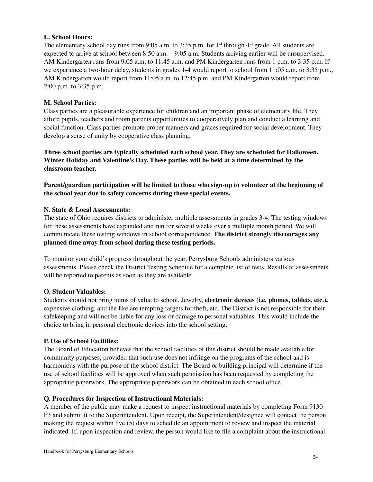# **L. School Hours:**

The elementary school day runs from 9:05 a.m. to 3:35 p.m. for  $1<sup>st</sup>$  through  $4<sup>th</sup>$  grade. All students are expected to arrive at school between 8:50 a.m. – 9:05 a.m. Students arriving earlier will be unsupervised. AM Kindergarten runs from 9:05 a.m. to 11:45 a.m. and PM Kindergarten runs from 1 p.m. to 3:35 p.m. If we experience a two-hour delay, students in grades 1-4 would report to school from 11:05 a.m. to 3:35 p.m., AM Kindergarten would report from 11:05 a.m. to 12:45 p.m. and PM Kindergarten would report from 2:00 p.m. to 3:35 p.m.

# **M. School Parties:**

Class parties are a pleasurable experience for children and an important phase of elementary life. They afford pupils, teachers and room parents opportunities to cooperatively plan and conduct a learning and social function. Class parties promote proper manners and graces required for social development. They develop a sense of unity by cooperative class planning.

**Three school parties are typically scheduled each school year. They are scheduled for Halloween, Winter Holiday and Valentine's Day. These parties will be held at a time determined by the classroom teacher.**

**Parent/guardian participation will be limited to those who sign-up to volunteer at the beginning of the school year due to safety concerns during these special events.**

# **N. State & Local Assessments:**

The state of Ohio requires districts to administer multiple assessments in grades 3-4. The testing windows for these assessments have expanded and run for several weeks over a multiple month period. We will communicate these testing windows in school correspondence. **The district strongly discourages any planned time away from school during these testing periods.**

To monitor your child's progress throughout the year, Perrysburg Schools administers various assessments. Please check the District Testing Schedule for a complete list of tests. Results of assessments will be reported to parents as soon as they are available.

#### **O. Student Valuables:**

Students should not bring items of value to school. Jewelry, **electronic devices (i.e. phones, tablets, etc.),** expensive clothing, and the like are tempting targets for theft, etc. The District is not responsible for their safekeeping and will not be liable for any loss or damage to personal valuables. This would include the choice to bring in personal electronic devices into the school setting.

#### **P. Use of School Facilities:**

The Board of Education believes that the school facilities of this district should be made available for community purposes, provided that such use does not infringe on the programs of the school and is harmonious with the purpose of the school district. The Board or building principal will determine if the use of school facilities will be approved when such permission has been requested by completing the appropriate paperwork. The appropriate paperwork can be obtained in each school office.

#### **Q. Procedures for Inspection of Instructional Materials:**

A member of the public may make a request to inspect instructional materials by completing [Form](http://www.neola.com/perrysburg-oh/search/forms/fm9130F3.pdf) 9130 [F3](http://www.neola.com/perrysburg-oh/search/forms/fm9130F3.pdf) and submit it to the Superintendent. Upon receipt, the Superintendent/designee will contact the person making the request within five (5) days to schedule an appointment to review and inspect the material indicated. If, upon inspection and review, the person would like to file a complaint about the instructional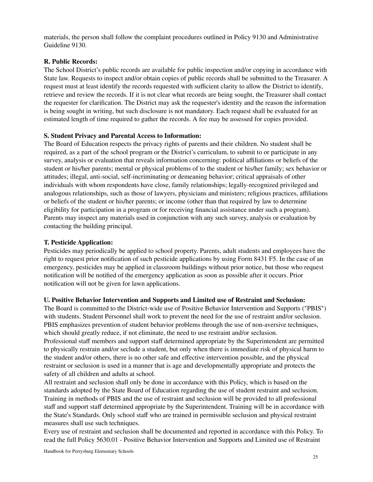materials, the person shall follow the complaint procedures outlined in Policy [9130](http://www.neola.com/perrysburg-oh/search/policies/po9130.htm) and Administrative Guideline [9130.](http://www.neola.com/perrysburg-oh/search/ag/ag9130.htm)

# **R. Public Records:**

The School District's public records are available for public inspection and/or copying in accordance with State law. Requests to inspect and/or obtain copies of public records shall be submitted to the Treasurer. A request must at least identify the records requested with sufficient clarity to allow the District to identify, retrieve and review the records. If it is not clear what records are being sought, the Treasurer shall contact the requester for clarification. The District may ask the requester's identity and the reason the information is being sought in writing, but such disclosure is not mandatory. Each request shall be evaluated for an estimated length of time required to gather the records. A fee may be assessed for copies provided.

# **S. Student Privacy and Parental Access to Information:**

The Board of Education respects the privacy rights of parents and their children. No student shall be required, as a part of the school program or the District's curriculum, to submit to or participate in any survey, analysis or evaluation that reveals information concerning: political affiliations or beliefs of the student or his/her parents; mental or physical problems of to the student or his/her family; sex behavior or attitudes; illegal, anti-social, self-incriminating or demeaning behavior; critical appraisals of other individuals with whom respondents have close, family relationships; legally-recognized privileged and analogous relationships, such as those of lawyers, physicians and ministers; religious practices, affiliations or beliefs of the student or his/her parents; or income (other than that required by law to determine eligibility for participation in a program or for receiving financial assistance under such a program). Parents may inspect any materials used in conjunction with any such survey, analysis or evaluation by contacting the building principal.

# **T. Pesticide Application:**

Pesticides may periodically be applied to school property. Parents, adult students and employees have the right to request prior notification of such pesticide applications by using Form 8431 F5. In the case of an emergency, pesticides may be applied in classroom buildings without prior notice, but those who request notification will be notified of the emergency application as soon as possible after it occurs. Prior notification will not be given for lawn applications.

#### **U. Positive Behavior Intervention and Supports and Limited use of Restraint and Seclusion:**

The Board is committed to the District-wide use of Positive Behavior Intervention and Supports ("PBIS") with students. Student Personnel shall work to prevent the need for the use of restraint and/or seclusion. PBIS emphasizes prevention of student behavior problems through the use of non-aversive techniques, which should greatly reduce, if not eliminate, the need to use restraint and/or seclusion.

Professional staff members and support staff determined appropriate by the Superintendent are permitted to physically restrain and/or seclude a student, but only when there is immediate risk of physical harm to the student and/or others, there is no other safe and effective intervention possible, and the physical restraint or seclusion is used in a manner that is age and developmentally appropriate and protects the safety of all children and adults at school.

All restraint and seclusion shall only be done in accordance with this Policy, which is based on the standards adopted by the State Board of Education regarding the use of student restraint and seclusion. Training in methods of PBIS and the use of restraint and seclusion will be provided to all professional staff and support staff determined appropriate by the Superintendent. Training will be in accordance with the State's Standards. Only school staff who are trained in permissible seclusion and physical restraint measures shall use such techniques.

Every use of restraint and seclusion shall be documented and reported in accordance with this Policy. To read the full Policy 5630.01 - Positive Behavior Intervention and Supports and Limited use of Restraint